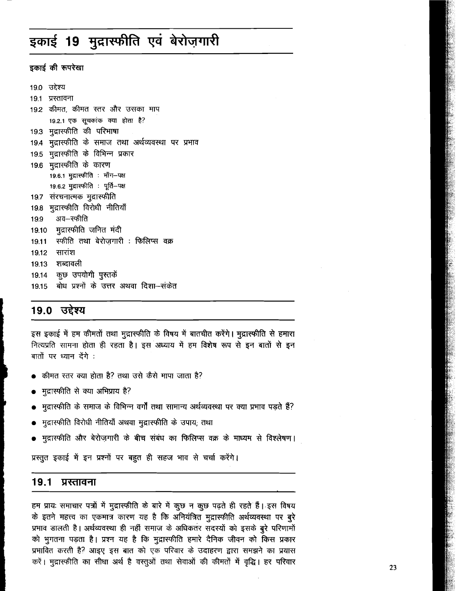# इकाई 19 मुद्रास्फीति एवं बेरोज़गारी

इकाई की रूपरेखा

19.0 उद्देश्य 19.1 प्रस्तावना 19.2 कीमत, कीमत स्तर और उसका माप 19.2.1 एक सूचकांक क्या होता है? 19.3 मुद्रास्फीति की परिभाषा 19.4 मुद्रास्फीति के समाज तथा अर्थव्यवस्था पर प्रभाव 19.5 मुद्रास्फीति के विभिन्न प्रकार 19.6 मुद्रास्फीति के कारण 19.6.1 मुद्रास्फीति : माँग-पक्ष 19.6.2 मुद्रास्फीति : पूर्ति-पक्ष 19.7 संरचनात्मक मुद्रास्फीति 19.8 मुद्रास्फीति विरोधी नीतियाँ अव–स्फीति 19.9 19.10 मुद्रास्फीति जनित मंदी स्फीति तथा बेरोजगारी : फिलिप्स वक्र  $19.11$ सारांश 19.12 19.13 शब्दावली 19.14 कुछ उपयोगी पुस्तकें 19.15 बोध प्रश्नों के उत्तर अथवा दिशा—संकेत

## 19.0 उद्देश्य

इस इकाई में हम कीमतों तथा मुद्रास्फीति के विषय में बातचीत करेंगे। मुद्रास्फीति से हमारा नित्यप्रति सामना होता ही रहता है। इस अध्याय में हम विशेष रूप से इन बातों से इन बातों पर ध्यान देंगे :

- कीमत स्तर क्या होता है? तथा उसे कैसे मापा जाता है?
- मुद्रास्फीति से क्या अभिप्राय है?
- मुद्रास्फीति के समाज के विभिन्न वर्गों तथा सामान्य अर्थव्यवस्था पर क्या प्रभाव पड़ते हैं?
- मुद्रास्फीति विरोधी नीतियाँ अथवा मुद्रास्फीति के उपाय, तथा
- मुद्रास्फीति और बेरोज़गारी के बीच संबंध का फिलिप्स वक्र के माध्यम से विश्लेषण।

प्रस्तुत इकाई में इन प्रश्नों पर बहुत ही सहज भाव से चर्चा करेंगे।

#### $19.1$ प्रस्तावना

हम प्रायः समाचार पत्रों में मुद्रास्फीति के बारे में कुछ न कुछ पढ़ते ही रहते हैं। इस विषय के इतने महत्त्व का एकमात्र कारण यह है कि अनियंत्रित मुद्रास्फीति अर्थव्यवस्था पर बूरे प्रभाव डालती है। अर्थव्यवस्था ही नहीं समाज के अधिकतर सदस्यों को इसके बुरे परिणामों को भुगतना पड़ता है। प्रश्न यह है कि मुद्रास्फीति हमारे दैनिक जीवन को किस प्रकार प्रभावित करती है? आइए इस बात को एक परिवार के उदाहरण द्वारा समझने का प्रयास करें। मुद्रास्फीति का सीधा अर्थ है वस्तुओं तथा सेवाओं की कीमतों में वृद्धि। हर परिवार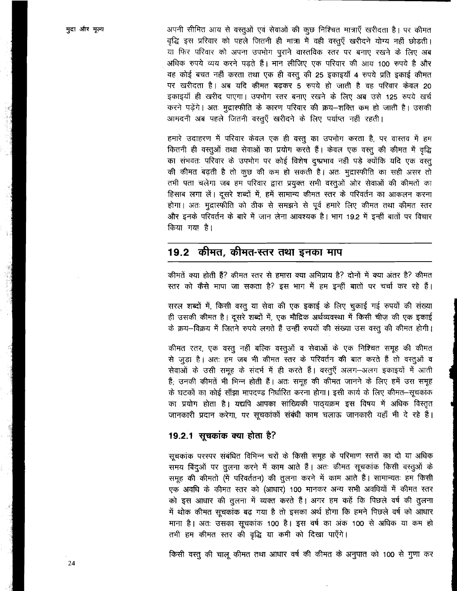मुद्रा और मृत्य

अपनी सीमित आय से वस्तूओं एवं सेवाओं की कुछ निश्चित मात्राएँ खरीदता है। पर कीमत वृद्धि इस प्ररिवार को पहले जितनी ही मात्रा में वही वस्तुएँ खरीदने योग्य नहीं छोड़ती। या फिर परिवार को अपना उपभोग पुराने वास्तविक स्तर पर बनाए रखने के लिए अब अधिक रुपये व्यय करने पडते हैं। मान लीजिए एक परिवार की आय 100 रुपये है और वह कोई बचत नहीं करता तथा एक ही वस्तू की 25 इकाइयाँ 4 रुपये प्रति इकाई कीमत पर खरीदता है। अब यदि कीमत बढ़कर 5 रुपये हो जाती है वह परिवार केवल 20 इकाइयाँ ही खरीद पाएगा। उपभोग स्तर बनाए रखने के लिए अब उसे 125 रुपये खर्च करने पड़ेंगे। अतः मुद्रास्फीति के कारण परिवार की क्रय-शक्ति कम हो जाती है। उसकी आमदनी अब पहले जितनी वस्तुएँ खरीदने के लिए पर्याप्त नहीं रहती।

हमारे उदाहरण में परिवार केवल एक ही वस्तू का उपभोग करता है, पर वास्तव में हम कितनी ही वस्तूओं तथा सेवाओं का प्रयोग करते हैं। केवल एक वस्तू की कीमत में वृद्धि का संभवतः परिवार के उपभोग पर कोई विशेष दुष्प्रभाव नहीं पड़े क्योंकि यदि एक वस्तु की कीमत बढ़ती है तो कुछ की कम हो सकती है। अतः मुद्रास्फीति का सही असर तो तभी पता चलेगा जब हम परिवार द्वारा प्रयुक्त सभी वस्तुओं ओर सेवाओं की कीमतों का हिसाब लगा लें। दूसरे शब्दों में, हमें सामान्य कीमत स्तर के परिवर्तन का आकलन करना होगा। अतः मुद्रास्फीति को ठीक से समझने से पूर्व हमारे लिए कीमत तथा कीमत स्तर और इनके परिवर्तन के बारे में जान लेना आवश्यक है। भाग 19.2 में इन्हीं बातों पर विचार किया गया है।

#### कीमत, कीमत-स्तर तथा इनका माप  $19.2$

कीमतें क्या होती हैं? कीमत स्तर से हमारा क्या अभिप्राय है? दोनों में क्या अंतर है? कीमत स्तर को कैसे मापा जा सकता है? इस भाग में हम इन्हीं बातों पर चर्चा कर रहे हैं।

सरल शब्दों में, किसी वस्तू या सेवा की एक इकाई के लिए चुकाई गई रुपयों की संख्या ही उसकी कीमत है। दूसरे शब्दों में, एक मौद्रिक अर्थव्यवस्था में किसी चीज़ की एक इकाई के क्रय-विक्रय में जितने रुपये लगते हैं उन्हीं रुपयों की संख्या उस वस्तु की कीमत होगी।

कीमत रतर, एक वस्तु नहीं बल्कि वस्तुओं व सेवाओं के एक निश्चित समूह की कीमत से जुड़ा है। अतः हम जब भी कीमत स्तर के परिवर्तन की बात करते हैं तो वस्तुओं व सेवाओं के उसी समूह के संदर्भ में ही करते हैं। वस्तुएँ अलग-अलग इकाइयों में आती हैं, उनकी कीमतें भी भिन्न होती हैं। अतः समूह की कीमत जानने के लिए हमें उस समूह के घटकों का कोई साँझा मापदण्ड निर्धारित करना होगा। इसी कार्य के लिए कीमत-सूचकांक का प्रयोग होता है। यद्यपि आपका सांख्यिकी पाठ्यक्रम इस विषय में अधिक विस्तृत जानकारी प्रदान करेगा, पर सूचकांकों संबंधी काम चलाऊ जानकारी यहाँ भी दे रहे हैं।

## 19.2.1 सूचकांक क्या होता है?

सूचकांक परस्पर संबंधित विभिन्न चरों के किसी समूह के परिमाण स्तरों का दो या अधिक समय बिंदुओं पर तुलना करने में काम आते हैं। अंतः कीमत सूचकांक किसी वस्तुओं के समूह की कीमतों (में परिवर्ततन) की तुलना करने में काम आते हैं। सामान्यतः हम किसी एक अवधि के कीमत स्तर को (आधार) 100 मानकर अन्य सभी अवधियों में कीमत स्तर को इस आधार की तुलना में व्यक्त करते हैं। अगर हम कहें कि पिछले वर्ष की तुलना में थोक कीमत सूचकांक बढ़ गया है तो इसका अर्थ होगा कि हमने पिछले वर्ष को आधार माना है। अतः उसका सूचकांक 100 है। इस वर्ष का अंक 100 से अधिक या कम हो तभी हम कीमत स्तर की वृद्धि या कमी को दिखा पाएँगे।

किसी वस्तू की चालू कीमत तथा आधार वर्ष की कीमत के अनुपात को 100 से गुणा कर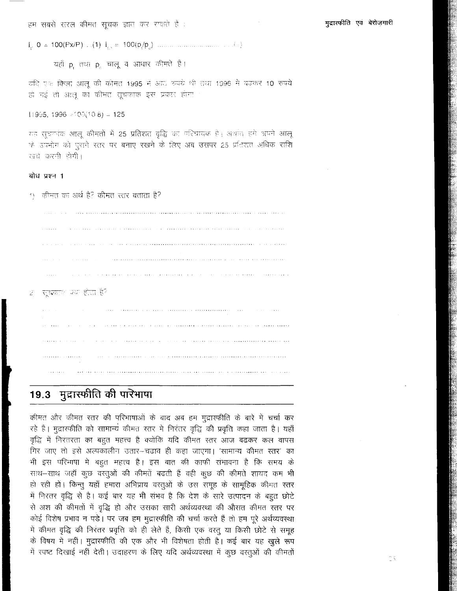हम सबसे सरल कीमत सूचक ज्ञात कर राकते हैं :

यहाँ p. तथा p. चालू व आधार कीमते हैं।

चंदि एक किलो आलू की कीमत 1995 में आउ रुपये थी तथा 1996 में बढ़कर 10 रुपये हो गई तो आलू का कीमंद राूचकाक इस प्रकार होगा

 $11995, 1996 \ge 00(10.8) = 125$ 

यह सूचकांक आलू कीमतों में 25 प्रतिशत वृद्धि का परिचायक है। अथांत हमें अपने आलू के उपभोग को पुराने स्तर पर बनाए रखने के लिए अब उसपर 25 प्रतिशत अधिक राशि खर्च करनी होगी।

#### बोध प्रश्न 1

<u>1) कीमत का अर्थ है? कीमत रत्तर बताता है?</u>

.<br>I 2004 - Robert Gerry Charles Leonard Leonard de Commentario (1992-1992) obstant (1990-1994) obstant o 1999-19 والاوود وبتقوم الانتقاقية ووادعته والانتقال المادا والواطع فقروده وبقاد المتفتق والمحامد المدافع فقالون والمادات والمادات 2) सूचकार पण होता है?  $\hat{\theta}$  , and the compact values are minimized and maximize and a set of the an dita sa kasa sa sa kasa sa kara na kara ng alawa na bili bili barang sa bara na sa sa sa sa kara na kara sa .<br>2002 - 2003 - 1994 - 1996 - 1996 - 1996 - 1997 - 1998 - 1999 - 1999 - 1999 - 1999 - 1999 - 1999 - 1999 - 2004 

# 19.3 मुद्रास्फीति की पारेभाषा

कीमत और कीमत स्तर की परिभाषाओं के बाद अब हम मुद्रास्फीति के बारे में चर्चा कर रहे हैं। मुद्रास्कीति को सामान्य कीमत रतर में निरंतर वृद्धि की प्रवृत्ति कहा जाता है। यहाँ वृद्धि में निरंतरता का बहुत महत्त्व है क्योंकि यदि कीमत स्तर आज बढकर कल वापस गिर जाए तो इसे अल्पकालीन उतार-चढाव ही कहा जाएगा। 'सामान्य कीमत स्तर' का भी इस परिभाषा में बहुत महत्त्व है। इस बात की काफी संभावना है कि समय के साथ-साथ जहाँ कुछ वस्तुओं की कीमतें बढती हैं वही कुछ की कीमतें शायद कम भी हो रही हो। किन्तु यहाँ हमारा अभिप्राय वस्तुओं के उस समूह के सामूहिक कीमत स्तर में निरतर वृद्धि से है। कई बार यह भी संभव है कि देश के सारे उत्पादन के बहुत छोटे से अंश की कीमतों में वृद्धि हो और उसका सारी अर्थव्यवस्था की औसत कीमत स्तर पर कोई विशेष प्रभाव न पड़े। पर जब हम मुद्रारफीति की चर्चा करते हैं तो हम पूरे अर्थव्यवस्था में कीमत वृद्धि की निरंतर प्रवृत्ति को ही लेते हैं, किसी एक वस्तु या किसी छोटे से समूह के विषय में नहीं। मुद्रारफीति की एक और भी विशेषता होती है। कई बार यह खुले रूप में स्पष्ट दिखाई नहीं देती। उदाहरण के लिए यदि अर्थव्यवस्था में कुछ वस्तुओं की कीमतों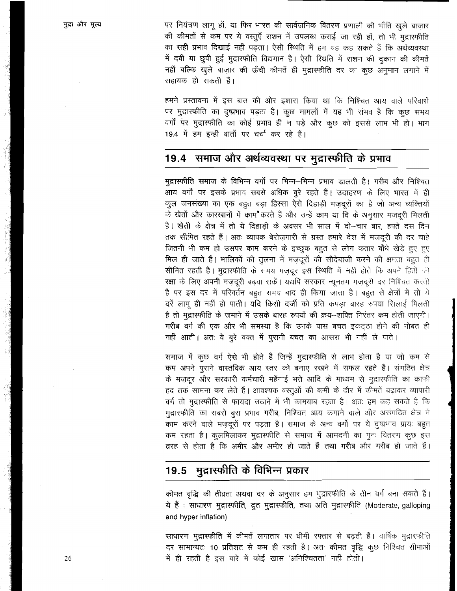पर नियंत्रण लागू हों, या फिर भारत की सार्वजनिक वितरण प्रणाली की भाँति खुले बाज़ार की कीमतों से कम पर ये वस्तूएँ राशन में उपलब्ध कराई जा रही हों, तो भी मुद्रास्फीति का सही प्रभाव दिखाई नहीं पड़ता। ऐसी स्थिति में हम यह कह सकते हैं कि अर्थव्यवस्था में दबी या छुपी हुई मुद्रास्फीति विद्यमान है। ऐसी स्थिति में राशन की दुकान की कीमतें नहीं बल्कि खुले बाज़ार की ऊँची कीमतें ही मुद्रास्फीति दर का कुछ अनुमान लगाने में सहायक हो सकती हैं।

हमने प्रस्तावना में इस बात की ओर इशारा किया था कि निश्चित आय वाले परिवारों पर मुद्रास्फीति का दुष्प्रभाव पड़ता है। कुछ मामलों में यह भी संभव है कि कुछ समय वर्गों पर मुद्रास्फीति का कोई प्रभाव ही न पड़े और कुछ को इससे लाभ भी हो। भाग 19.4 में हम इन्हीं बातों पर चर्चा कर रहे हैं।

# 19.4 समाज और अर्थव्यवस्था पर मुद्रास्फीति के प्रभाव

मुद्रास्फीति समाज के विभिन्न वर्गों पर भिन्न-भिन्न प्रभाव डालती है। गरीब और निश्चित -<br>आय वर्गों पर इसके प्रभाव सबसे अधिक बुरे रहते हैं। उदाहरण के लिए भारत में ही कुल जनसंख्या का एक बहुत बड़ा हिस्सा ऐसे दिहाड़ी मज़दूरों का है जो अन्य व्यक्तियों के खेतों और कारखानों में काम करते हैं और उन्हें काम या दि के अनुसार मजदूरी मिलती है। खेती के क्षेत्र में तो ये दिहाड़ी के अवसर भी साल में दो-चार बार, हफ्ते दस दिन तक सीमित रहते हैं। अतः व्यापक बेरोज़गारी से ग्रस्त हमारे देश में मज़दूरी की दर चाहे जितनी भी कम हो उसपर काम करने के इच्छुक बहुत से लोग कतार बाँधे खेड़े हुए हुए मिल ही जाते हैं। मालिकों की तुलना में मज़दूरों की सौदेबाजी करने की क्षमता बहुत ही सीमित रहती है। मुद्रास्फीति के समय मज़दूर इस स्थिति में नहीं होते कि अपने हितों की रक्षा के लिए अपनी मज़दूरी बढ़वा सकें। यद्यपि सरकार न्यूनतम मज़दूरी दर निश्चित करती है पर इस दर में परिवर्तन बहुत समय बाद ही किया जाता है। बहुत से क्षेत्रों में तो ये दरें लागू ही नहीं हो पाती। यदि किसी दर्जी को प्रति कपड़ा बारह रुपया सिलाई मिलती है तो मुद्रास्फीति के जमाने में उसके बारह रुपयों की क्रय-शक्ति निरंतर कम होती जाएगी। गरीब वर्ग की एक और भी समस्या है कि उनके पास बचत इकट्ठा होने की नोबत ही नहीं आती। अतः वे बूरे वक्त में पूरानी बचत का आसरा भी नहीं ले पाते।

समाज में कूछ वर्ग ऐसे भी होते हैं जिन्हें मुद्रास्फीति से लाभ होता है या जो कम से कम अपने पुराने वास्तविक आय स्तर को बनाए रखने में सफल रहते हैं। संगठित क्षेत्र के मज़दूर और सरकारी कर्मचारी महँगाई भत्ते आदि के माध्यम से मुद्रास्फीति का काफी हद तक सामना कर लेते हैं। आवश्यक वस्तुओं की कमी के दौर में कीमतें बढ़ाकर व्यापारी वर्ग तो मुद्रास्फीति से फायदा उठाने में भी कामयाब रहता है। अतः हम कह सकते हैं कि मुद्रारफीति का सबसे बूरा प्रभाव गरीब, निश्चित आय कमाने वाले और असंगठित क्षेत्र में काम करने वाले मज़दूरों पर पड़ता है। समाज के अन्य वर्गों पर ये दुष्प्रभाव प्रायः बहुत कम रहता है। कुलमिलाकर मुद्रास्फीति से समाज में आमदनी का पुनः वितरण कुछ इस तरह से होता है कि अमीर और अमीर हो जाते हैं तथा गरीब और गरीब हो जाते हैं।

# 19.5 मुद्रास्फीति के विभिन्न प्रकार

कीमत वृद्धि की तीव्रता अथवा दर के अनुसार हम भुद्रास्फीति के तीन वर्ग बना सकते हैं। ये हैं : साधारण मुद्रास्फीति, द्रुत मुद्रास्फीति, तथा अति मुद्रास्फीति (Moderate, galloping and hyper inflation)

साधारण मुद्रास्फीति में कीमतें लगातार पर धीमी रफ्तार से बढ़ती हैं। वार्षिक मुद्रास्फीति दर सामान्यतः 10 प्रतिशत से कम ही रहती है। अत<sup>.</sup> कीमत वृद्धि कुछ निश्चित सीमाओं में ही रहती है इस बारे में कोई खास 'अनिश्चितता' नहीं होती।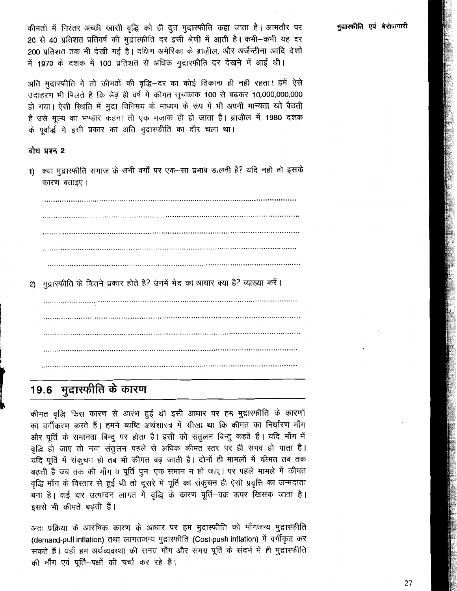कीमतों में निरंतर अच्छी खासी वृद्धि को ही द्रुत मुद्रास्फीति कहा जाता है। आमतौर पर 20 से 40 प्रतिशत प्रतिवर्ष की मुद्रास्फीति दर इसी श्रेणी में आती है। कभी-कभी यह दर 200 प्रतिशत तक भी देखी गई है। दक्षिण अमेरिका के ब्राजील, और अर्जेन्टीना आदि देशों में 1970 के दशक में 100 प्रतिशत से अधिक मुद्रास्फीति दर देखने में आई थी।

अति मुद्रारफीति में तो कीमतों की वृद्धि–दर का कोई ठिकाना ही नहीं रहता। हमें ऐसे उदाहरण भी मिलते हैं कि डेढ़ ही वर्ष में कीमत सूचकांक 100 से बढ़कर 10,000,000,000 हो गया। ऐसी स्थिति में मुद्रा विनिमय के माध्यम के रूप में भी अपनी मान्यता खो बैठती है उसे मृत्य का भण्डार कहना तो एक मज़ाक ही हो जाता है। ब्राज़ील में 1980 दशक के पर्वार्द्ध में इसी प्रकार का अति मुद्रास्फीति का दौर चला था।

### बोध प्रश्न 2

1) क्या मुद्रास्फीति समाज के सभी वर्गों पर एक-सा प्रभाव ड,लती है? यदि नहीं तो इसके कारण बताइए।

2) मुद्रास्फीति के कितने प्रकार होते हैं? उनमें भेद का आधार क्या है? व्याख्या करें।

# 19.6 मुद्रास्फीति के कारण

कीमत वृद्धि किस कारण से आरंभ हुई थी इसी आधार पर हम मुद्रास्फीति के कारणों का वर्गीकरण करते हैं। हमने व्यष्टि अर्थशास्त्र में सीखा था कि कीमत का निर्धारण माँग और पूर्ति के समानता बिन्दू पर होता है। इसी को संतुलन बिन्दू कहते हैं। यदि माँग में वृद्धि हो जाए तो नया संतुलन पहले से अधिक कीमत स्तर पर ही संभव हो पाता है। यदि पूर्ति में संकूचन हो तब भी कीमत बढ़ जाती है। दोनों ही मामलों में कीमत तब तक बढ़ती है जब तक की माँग व पूर्ति पुनः एक समान न हो जाए। पर पहले मामले में कीमत वृद्धि माँग के विस्तार से हुई थी तो दूसरे में पूर्ति का संकुचन ही ऐसी प्रवृत्ति का जन्मदाता -<br>बना है। कई बार उत्पादन लागत में वृद्धि के कारण पूर्ति–वक्र ऊपर खिसक जाता है। इससे भी कीमतें बढती हैं।

अतः प्रक्रिया के आरंभिक कारण के आधार पर हम मुद्रास्फीति को माँगजन्य मुद्रास्फीति (demand-pull inflation) तथा लागतजन्य मुद्रारफीति (Cost-push inflation) में वर्गीकृत कर सकते हैं। यहाँ हम अर्थव्यवस्था की समग्र माँग और समग्र पूर्ति के संदर्भ में ही मुद्रास्फीति की माँग एवं पूर्ति-पक्षों की चर्चा कर रहे हैं।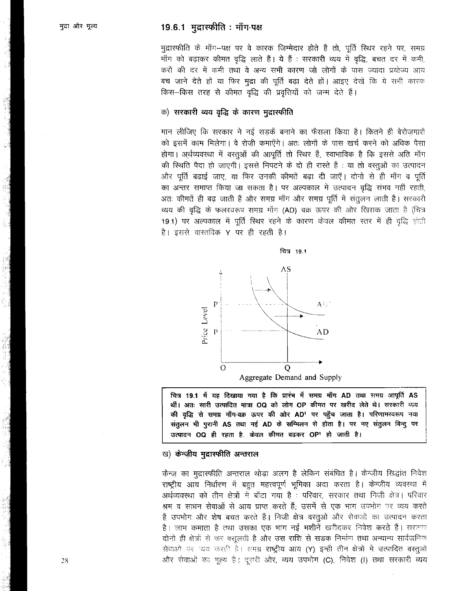## 19.6.1 मुद्रास्फीति: माँग-पक्ष

मुद्रास्फीति के माँग–पक्ष पर वे कारक जिम्मेदार होते हैं तो, पूर्ति स्थिर रहने पर, समग्र माँग को बढ़ाकर कीमत वृद्धि लाते हैं। ये हैं : सरकारी व्यय में वृद्धि, बचत दर में कमी, करों की दर में कमी तथा वे अन्य सभी कारण जो लोगों के पास ज्यादा प्रयोज्य आय बच जाने देते हों या फिर मुद्रा की पूर्ति बढ़ा देते हों। आइए देखें कि ये सभी कारक किस-किस तरह से कीमत वृद्धि की प्रवृत्तियों को जन्म देते हैं।

#### क) सरकारी व्यय वृद्धि के कारण मुद्रास्फीति

मान लीजिए कि सरकार ने नई सडकें बनाने का फैसला किया है। कितने ही बेरोजगारों को इसमें काम मिलेगा। वे रोजी कमाएँगे। अतः लोगों के पास खर्च करने को अधिक पैसा होगा। अर्थव्यवस्था में वस्तुओं की आपूर्ति तो स्थिर हैं, स्वाभाविक है कि इससे अति माँग की स्थिति पैदा हो जाएगी। इससे निपटने के दो ही रास्ते हैं : या तो वस्तुओं का उत्पादन और पूर्ति बढ़ाई जाए, या फिर उनकी कीमतें बढ़ा दी जाएँ। दोनों से ही माँग व पूर्ति का अन्तर समाप्त किया जा सकता है। पर अल्पकाल में उत्पादन वृद्धि संभव नहीं रहती, अतः कीमतें ही बढ़ जाती हैं और समग्र माँग और समग्र पूर्ति में संतुलन लाती हैं। सरकारी व्यय की वृद्धि के फलरवरूप समग्र माँग (AD) वक्र ऊपर की ओर खिसक जाता है (चित्र 19.1) पर अल्पकाल में पूर्ति स्थिर रहने के कारण केवल कीमत स्तर में ही वृद्धि होती है। इससे वास्तविक Y पर ही रहती है।



चित्र 19.1 में यह दिखाया गया है कि प्रारंभ में समग्र माँग AD तथा समग्र आपूर्ति AS थीं। अतः सारी उत्पादित मात्रा OQ को लोग OP कीमत पर खरीद लेते थे। सरकारी व्यय की वृद्धि से समग्र माँग-वक्र ऊपर की ओर AD<sup>1</sup> पर पहुँच जाता है। परिणामस्वरूप नया संतुलन भी पुरानी AS तथा नई AD के सम्मिलन से होता है। पर नए संतुलन बिन्दु पर उत्पादन OQ ही रहता है. केवल कीमत बढकर OP<sup>1</sup> हो जाती है।

#### ख) केन्ज़ीय मुद्रास्फीति अन्तराल

केन्ज़ का मुद्रास्फीति अन्तराल थोड़ा अलग है लेकिन संबंधित है। केन्ज़ीय सिद्धांत निवेश राष्ट्रीय आय निर्धारण में बहुत महत्त्वपूर्ण भूमिका अदा करता है। केन्ज़ीय व्यवस्था में अर्थव्यवस्था को तीन क्षेत्रों में बाँटा गया है : परिवार, सरकार तथा निजी क्षेत्र। परिवार श्रम व साधन सेवाओं से आय प्राप्त करते हैं; उसमें से एक भाग उपभोग पर व्यय करते हैं उपभोग और शेष बचत करते हैं। निजी क्षेत्र वस्तुओं और सेवाओं का उत्पादन करता है। लाभ कमाता है तथा उसका एक भाग नई मशीनें खरीदकर निवेश करते हैं। सरकार दोनों ही क्षेत्रों से कर वसूलती है और उस राशि से सडक निर्माण तथा अन्यान्य सार्वजनिक सेवाओं पर च्यय करती है। समग्र राष्ट्रीय आय (Y) इन्ही तीन क्षेत्रों में उत्पादित वस्तुओं और सेवाओं का मूल्य है। दूसरी ओर, व्यय उपभोग (C), निवेश (I) तथा सरकारी व्यय

28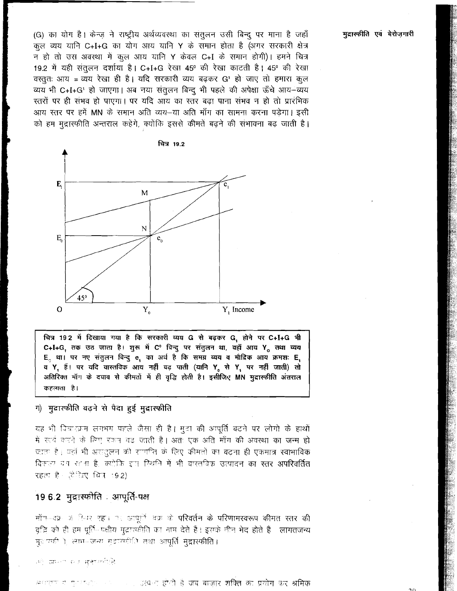(G) का योग है। केन्ज़ ने राष्ट्रीय अर्थव्यवस्था का संतुलन उसी बिन्दू पर माना है जहाँ कुल व्यय यानि C+I+G का योग आय यानि Y के समान होता है (अगर सरकारी क्षेत्र न हो तो उस अवस्था में कूल आय यानि Y केवल C+I के समान होगी)। हमने चित्र 19.2 में यही संतुलन दर्शाया है। C+I+G रेखा 45° की रेखा काटती है। 45° की रेखा वस्तुतः आय = व्यय रेखा ही है। यदि सरकारी व्यय बढ़कर G' हो जाए तो हमारा कूल व्यय भी C+I+G' हो जाएगा। अब नया संतुलन बिन्दू भी पहले की अपेक्षा ऊँचे आय-व्यय रतरों पर ही संभव हो पाएगा। पर यदि आय का रतर बढ़ा पाना संभव न हो तो प्रारंभिक आय स्तर पर हमें MN के समान अति व्यय-या अति माँग का सामना करना पड़ेगा। इसी को हम मुद्रास्फीति अन्तराल कहेंगे, क्योंकि इससे कीमतें बढ़ने की संभावना बढ़ जाती है।



चित्र 19.2 में दिखाया गया है कि सरकारी व्यय G से बढ़कर G, होने पर C+I+G भी C+I+G, तक उठ जाता है। शुरू में C° विन्दु पर संतुलन था, वहाँ आय Y<sub>o</sub> तथा व्यय E, था। पर नए संतुलन बिन्दु e, का अर्थ है कि समग्र व्यय व मौदिक आय क्रमश: E, व Y, हैं। पर यदि वास्तविक आय नहीं बढ़ पाती (यानि Y, से Y, पर नहीं जाती) तो अतिरिक्त माँग के दबाव से कीमतों में ही वृद्धि होती है। इसीजिए MN मुद्रास्फीति अंतराल कहलाता है।

## ग) मुदारफीति वढ़ने से पैदा हुई मुद्रास्फीति

यह भी विचारक्रम लगभग पहले जैसा ही है। मुदा की अपूर्ति बढने पर लोगो के हाथों में खबे करने के लिए रकन बढ़ जाती है। अतः एक अति माँग की अवस्था का जन्म हो जाता है। यहाँ भी असदुलन की सागपित के लिए कीमतों का बढ़ना ही एकमात्र स्वाभाविक विकल्प वन रहना है, क्योकि इस रिश्मति में भी वारतविक उत्पादन का स्तर अपरिवर्तित रहता है। (टेंटिए चित्र 192)

## 19.6.2 मुद्रास्फोति : आपूर्ति-पक्ष

माँग-नव्रः क्र टिबर रह। यह आपूर्वि वक्र के परिवर्तन के परिणामस्वरूप कीमत स्तर की वृद्धि को ही हम पूर्ति-पक्षीय मुद्रास्फीति का नाम देते हैं। इसके नीन भेद होते हैं - लागतजन्य मुराज्यकी ), साम-जन्म मुद्राज्यकीति तथा आपूर्ति मुद्रास्फीति।

ਰਦੇ ਕਸਮਾਨ ਦਰ *ਬਣਾਰ*ਲੀ(ਫ਼ੋ

ा अन्य अधिका होती है जब बाज़ार शक्ति का प्रयोग कर श्रमिक  $\mu$  ,  $\mu$  ,  $\mu$ 

मुद्रास्फीति एवं बेरोजगारी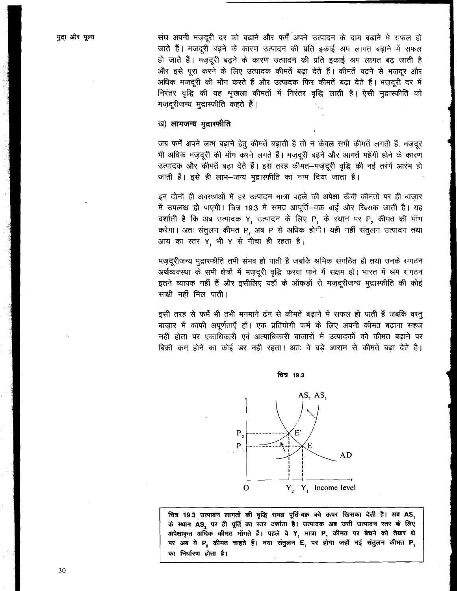संघ अपनी मजदूरी दर को बढ़ाने और फर्में अपने उत्पादन के दाम बढ़ाने में सफल हो जाते हैं। मजदूरी बढ़ने के कारण उत्पादन की प्रति इकाई श्रम लागत बढाने में सफल हो जाते हैं। मज़दूरी बढ़ने के कारण उत्पादन की प्रति इकाई श्रम लागत बढ़ जाती है और इसे पूरा करने के लिए उत्पादक कीमतें बढ़ा देते हैं। कीमतें बढ़ने से मजदूर और अधिक मज़दूरी की माँग करते हैं और उत्पादक फिर कीमतें बढ़ा देते हैं। मजदूरी दर में निरंतर वृद्धि की यह शृंखला कीमतों में निरंतर वृद्धि लाती है। ऐसी मुद्रास्फीति को मज़दूरीजन्य मुद्रास्फीति कहते हैं।

#### ख) लाभजन्य मुद्रास्फीति

जब फर्में अपने लाभ बढ़ाने हेतू कीमतें बढ़ाती है तो न केवल सभी कीमतें लगती हैं, मज़दूर भी अधिक मज़दूरी की माँग करने लगते हैं। मज़दूरी बढ़ने और आगतें महँगी होने के कारण उत्पादक और कीमतें बढ़ा देते हैं। इस तरह कीमत-मज़दूरी वृद्धि की नई तरंगें आरंभ हो जाती हैं। इसे ही लाभ–जन्य मुद्रास्फीति का नाम दिया जाता है।

इन दोनों ही अवस्थाओं में हर उत्पादन मात्रा पहले की अपेक्षा ऊँची कीमतों पर ही बाजार में उपलब्ध हो पाएगी। चित्र 19.3 में समग्र आपूर्ति-वक्र बाईं ओर खिसक जाती है। यह दर्शाती है कि अब उत्पादक Y, उत्पादन के लिए P, के स्थान पर P<sub>2</sub> कीमत की माँग करेगा। अतः संतुलन कीमत R, अब P से अधिक होगी। यही नहीं संतुलन उत्पादन तथा आय का स्तर Y, भी Y से नीचा ही रहता है।

मज़दूरीजन्य मुद्रास्फीति तभी संभव हो पाती है जबकि श्रमिक संगठित हो तथा उनके संगठन अर्थव्यवस्था के सभी क्षेत्रों में मज़दूरी वृद्धि करवा पाने में सक्षम हो। भारत में श्रम संगठन इतने व्यापक नहीं हैं और इसीलिए यहाँ के आँकड़ों से मज़दूरीजन्य मुद्रास्फीति की कोई साक्षी नहीं मिल पाती।

इसी तरह से फर्में भी तभी मनमाने ढंग से कीमतें बढ़ाने में सफल हो पाती हैं जबकि वस्तू बाजार में काफी अपूर्णताएँ हों। एक प्रतियोगी फर्म के लिए अपनी कीमत बढ़ाना सहज नहीं होता पर एकाधिकारी एवं अल्पाधिकारी बाज़ारों में उत्पादकों को कीमत बढ़ाने पर बिक्री कम होने का कोई डर नहीं रहता। अतः वे बड़े आराम से कीमतें बढ़ा देते हैं।





चित्र 19.3 उत्पादन लागतों की वृद्धि समग्र पूर्ति-वक्र को ऊपर खिसका देती है। अब AS, के स्थान AS, पर ही पूर्ति का स्तर दर्शाता है। उत्पादक अब उसी उत्पादन स्तर के लिए अपेक्षाकृत अधिक कीमत माँगते हैं। पहले वे Y, मात्रा P, कीमत पर बेचने को तैयार थे पर अब वे P2 कीमत चाहते हैं। नया संतुलन E, पर होगा जहाँ नई संतुलन कीमत P, का निर्धारण होता है।

30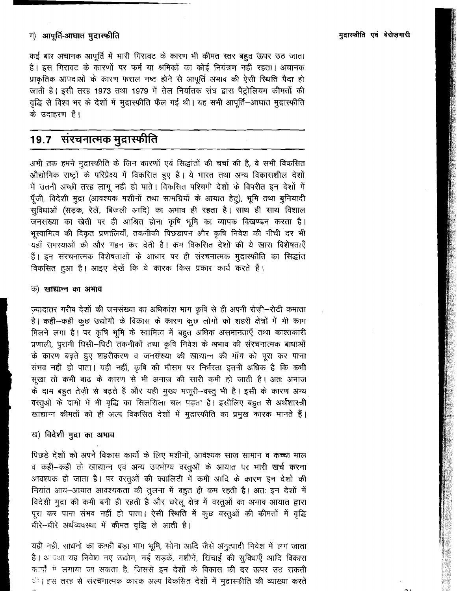कई बार अचानक आपूर्ति में भारी गिरावट के कारण भी कीमत स्तर बहुत ऊपर उठ जाता है। इस गिरावट के कारणों पर फर्म या श्रमिकों का कोई नियंत्रण नहीं रहता। अचानक प्राकृतिक आपदाओं के कारण फसल नष्ट होने से आपूर्ति अभाव की ऐसी स्थिति पैदा हो जाती है। इसी तरह 1973 तथा 1979 में तेल निर्यातक संघ द्वारा पैट्रोलियम कीमतों की वृद्धि से विश्व भर के देशों में मुद्रास्फीति फैल गई थी। यह सभी आपूर्ति–आघात मुद्रास्फीति .<br>के उदाहरण हैं।

# 19.7 संरचनात्मक मुद्रास्फीति

अभी तक हमने मुद्रास्फीति के जिन कारणों एवं सिद्धांतों की चर्चा की है, वे सभी विकसित औद्योगिक राष्ट्रों के परिप्रेक्ष्य में विकसित हुए हैं। ये भारत तथा अन्य विकासशील देशों में उतनी अच्छी तरह लागू नहीं हो पाते। विकसित पश्चिमी देशों के विपरीत इन देशों में पूँजी, विदेशी मुद्रा (आवश्यक मशीनों तथा सामग्रियों के आयात हेतु), भूमि तथा बुनियादी .<br>सुविधाओं (सड़क, रेलें, बिजली आदि) का अभाव ही रहता है। साथ ही साथ विशाल -<br>जनसंख्या का खेती पर ही आश्रित होना कृषि भूमि का व्यापक विखण्डन करता है। भस्वामित्व की विकृत प्रणालियाँ, तकनीकी पिछड़ापन और कृषि निवेश की नीची दर भी .<br>यहाँ समस्याओं को और गहन कर देती है। कम विकसित देशों की ये खास विशेषताएँ हैं। इन संरचनात्मक विशेषताओं के आधार पर ही संरचनात्मक मुद्रास्फीति का सिद्धांत विकसित हुआ है। आइए देखें कि ये कारक किस प्रकार कार्य करते हैं।

#### क) खाद्यान्न का अभाव

ज़्यादातर गरीब देशों की जनसंख्या का अधिकांश भाग कृषि से ही अपनी रोज़ी-रोटी कमाता है। कहीं-कहीं कुछ उद्योगों के विकास के कारण कुछ लोगों को शहरी क्षेत्रों में भी काम मिलने लगा है। पर कृषि भूमि के स्वामित्व में बहुत अधिक असमानताएँ तथा काश्तकारी प्रणाली, पुरानी घिसी-पिटी तकनीकों तथा कृषि निवेश के अभाव की संरचनात्मक बाधाओं के कारण बढ़ते हुए शहरीकरण व जनसंख्या की खाद्यान्न की माँग को पूरा कर पाना संभव नहीं हो पाता। यही नहीं, कृषि की मौसम पर निर्भरता इतनी अधिक है कि कभी सूखा तो कभी बाढ़ के कारण से भी अनाज की सारी कभी हो जाती है। अतः अनाज के दाम बहुत तेज़ी से बढ़ते हैं और यही मुख्य मजूरी-वस्तू भी है। इसी के कारण अन्य वस्तुओं के दामों में भी वृद्धि का सिलसिला चल पड़ता है। इसीलिए बहुत से अर्थशास्त्री खाद्यान्न कीमतों को ही अल्प विकसित देशों में मुद्रास्फीति का प्रमुख कारक मानते हैं।

### ख) विदेशी मुद्रा का अभाव

पिछड़े देशों को अपने विकास कार्यों के लिए मशीनों, आवश्यक साज़ सामान व कच्चा माल व कहीं-कहीं तो खाद्यान्न एवं अन्य उपभोग्य वस्तुओं के आयात पर भारी खर्च करना आवश्यक हो जाता है। पर वस्तुओं की क्वालिटी में कमी आदि के कारण इन देशों की निर्यात आय-आयात आवश्यकता की तुलना में बहुत ही कम रहती है। अतः इन देशों में विदेशी मुद्रा की कमी बनी ही रहती है और घरेलू क्षेत्र में वस्तुओं का अभाव आयात द्वारा पूरा कर पाना संभव नहीं हो पाता। ऐसी स्थिति में कूछ वस्तूओं की कीमतों में वृद्धि धीरे-धीरे अर्थव्यवस्था में कीमत वृद्धि ले आती है।

यही नहीं, साधनों का काफी बड़ा भाग भूमि, सोना आदि जैसे अनुत्पादी निवेश में लग जाता है। अन्वथा यह निवेश नए उद्योग, नई सड़कें, मशीनें, सिंचाई की सुविधाएँ आदि विकास कार्यों में लगाया जा सकता है, जिससे इन देशों के विकास की दर ऊपर उठ सकती ी। इस तरह से संरचनात्मक कारक अल्प विकसित देशों में मुद्रास्फीति की व्याख्या करते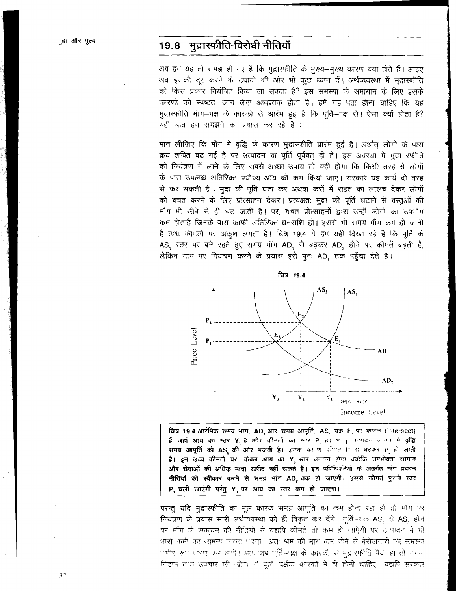# 19.8 मुद्रास्फीति-विरोधी नीतियाँ

अब हम यह तो समझ ही गए हैं कि मुद्रास्फीति के मुख्य--मुख्य कारण क्या होते हैं। आइए अव इसको दूर करने के उपायों की ओर भी कुछ ध्यान दें। अर्थव्यवस्था में मद्रास्फीति को किस प्रकार नियंत्रित किया जा सकता है? इस समस्या के समाधान के लिए इसके कारणों को स्पष्टतः जान लेना आवश्यक होता है। हमें यह पता होना चाहिए कि यह मुद्रास्फीति माँग-पक्ष के कारको से आरंभ हुई है कि पूर्ति-पक्ष से। ऐसा क्यों होता है? यही बात हम समझने का प्रयास कर रहे हैं :

मान लीजिए कि माँग में वृद्धि के कारण मुद्रास्फीति प्रारंभ हुई है। अर्थात् लोगों के पास क्रय शक्ति बढ़ गई है पर उत्पादन या पूर्ति पूर्ववत् ही हैं। इस अवस्था में मूद्रा स्फीति को नियंत्रण में लाने के लिए सबसे अच्छा उपाय तो यही होगा कि किसी तरह से लोगों के पास उपलब्ध अतिरिक्त प्रयोज्य आय को कम किया जाए। सरकार यह कार्य दो तरह से कर सकती है : मुद्रा की पूर्ति घटा कर अथवा करों में राहत का लालच देकर लोगों को बचत करने के लिए प्रोत्साहन देकर। प्रत्यक्षतः मुद्रा की पूर्ति घटाने से वस्तुओं की माँग भी सीधे से ही घट जाती है। पर, बचत प्रोत्साहनों द्वारा उन्हीं लोगों का उपभोग कम होताहै जिनके पास काफी अतिरिक्त धनराशि हो। इससे भी समग्र माँग कम हो जाती है तथा कीमतों पर अंकूश लगता है। चित्र 19.4 में हम यही दिखा रहे हैं कि पूर्ति के AS, स्तर पर बने रहते हुए समग्र माँग AD, से बढ़कर AD, होने पर कीमतें बढ़ती हैं, लेकिन माँग पर नियंत्रण करने के प्रयास इसे पुनः AD, तक पहुँचा देते हैं।



चित्र 19.4 आरंभिक समग्र भाग, AD, और समग्र आपूर्ति, AS, वक्र F, पर काटन (intersect) हैं जहां आय का स्तर Y है और कीमतों का स्तर P है। पत्नु उत्पाद लगत में वृद्धि समग्र आपूर्ति को AS, की ओर भेजती है। इसके बहरण कीमत P से बदकर P, हो जाती है। इन उच्च कीमतों पर केवल आय का Y, रतर उत्पन्न होगा क्योंकि उपभोक्ता सामान और सेवाओं की अधिक मात्रा खरीद नहीं सकते हैं। इन परिस्थितियों के अंतर्गत मांग प्रबंधन नीतियों को स्वीकार करने से समग्र मांग AD, तक हो जाएगी। इससे कीमतें पुराने स्तर P. चली जाएंगी परंतु Y. पर आय का स्तर कम हो जाएगा।

परन्तु यदि मुद्रास्फीति का मूल कारक समग्र आपूर्ति का कम होना रहा हो तो मॉग पर नियंत्रण के प्रयास सारी अर्थव्यवस्था को ही विकृत कर देंगे। पूर्ति-वक्र AS, से AS, होने पर माँग के सकचन की नीतियों से यद्यपि कीमतें तो कम हो जाएँगी पर उत्पादन में भी भारी कमी का सामन्ग वारना गड़ेगा। अतः श्रम की मांग कम होने से बेरोजगारी की समस्या ार्भर रूप धारण कर लगी। अतः जब पूर्ति-पक्ष के कारकों से मुद्रास्फीति पैदा हो तो प्रभा निदान तथा उपचार की खोज भी पूर्ति पक्षीय कारकों में ही होनी चाहिए। यद्यपि सरकार

32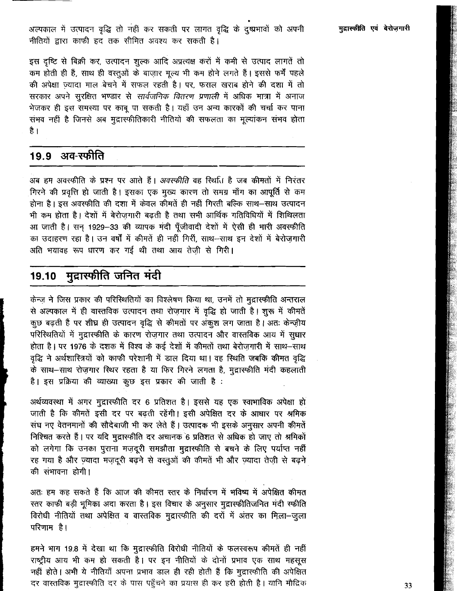अल्पकाल में उत्पादन वृद्धि तो नहीं कर सकती पर लागत वृद्धि के दुष्प्रभावों को अपनी नीतियों द्वारा काफी हद तक सीमित अवश्य कर सकती है।

इस दृष्टि से बिक्री कर, उत्पादन शुल्क आदि अप्रत्यक्ष करों में कमी से उत्पाद लागतें तो कम होती ही हैं, साथ ही वस्तुओं के बाज़ार मूल्य भी कम होने लगते हैं। इससे फर्में पहले की अपेक्षा ज़्यादा माल बेचने में सफल रहती है। पर, फसल खराब होने की दशा में तो सरकार अपने सुरक्षित भण्डार से *सार्वजनिक वितरण प्रणाली* में अधिक मात्रा में अनाज भेजकर ही इस समस्या पर काबू पा सकती है। यहाँ उन अन्य कारकों की चर्चा कर पाना सभव नहीं है जिनसे अब मुद्रास्फीतिकारी नीतियों की सफलता का मूल्यांकन संभव होता है ।

#### अव-स्फीति 19.9

अब हम अवस्फीति के प्रश्न पर आते हैं। *अवस्फीति* वह स्थिति है जब कीमतों में निरंतर गिरने की प्रवृत्ति हो जाती है। इसका एक मुख्य कारण तो समग्र माँग का आपूर्ति से कम होना है। इस अवस्फीति की दशा में केवल कीमतें ही नहीं गिरती बल्कि साथ-साथ उत्पादन भी कम होता है। देशों में बेरोजगारी बढ़ती है तथा सभी आर्थिक गतिविधियों में शिथिलता आ जाती है। सन् 1929-33 की व्यापक मंदी पूँजीवादी देशों में ऐसी ही भारी अवस्फीति का उदाहरण रहा है। उन वर्षों में कीमतें ही नहीं गिरीं, साथ-साथ इन देशों में बेरोज़गारी अति भयावह रूप धारण कर गई थी तथा आय तेज़ी से गिरी।

#### मुद्रास्फीति जनित मंदी 19.10

केन्ज़ ने जिस प्रकार की परिस्थितियों का विश्लेषण किया था, उनमें तो मुद्रास्फीति अन्तराल से अल्पकाल में ही वास्तविक उत्पादन तथा रोज़गार में वृद्धि हो जाती है। शुरू में कीमतें कुछ बढ़ती हैं पर शीघ्र ही उत्पादन वृद्धि से कीमतों पर अंकुश लग जाता है। अतः केन्ज़ीय परिस्थितियों में मुद्रास्फीति के कारण रोज़गार तथा उत्पादन और वास्तविक आय में सुधार होता है। पर 1976 के दशक में विश्व के कई देशों में कीमतों तथा बेरोज़गारी में साथ-साथ वृद्धि ने अर्थशास्त्रियों को काफी परेशानी में डाल दिया था। वह स्थिति जबकि कीमत वृद्धि के साथ-साथ रोज़गार स्थिर रहता है या फिर गिरने लगता है, मुद्रास्फीति मंदी कहलाती है। इस प्रक्रिया की व्याख्या कुछ इस प्रकार की जाती है :

अर्थव्यवस्था में अगर मुद्रास्फीति दर 6 प्रतिशत है। इससे यह एक स्वाभाविक अपेक्षा हो जाती है कि कीमतें इसी दर पर बढ़ती रहेंगी। इसी अपेक्षित दर के आधार पर श्रमिक संघ नए वेतनमानों की सौदेबाजी भी कर लेते हैं। उत्पादक भी इसके अनुसार अपनी कीमतें निश्चित करते हैं। पर यदि मुद्रास्फीति दर अचानक 6 प्रतिशत से अधिक हो जाए तो श्रमिकों को लगेगा कि उनका पुराना मज़दूरी समझौता मुद्रास्फीति से बचने के लिए पर्याप्त नहीं रह गया है और ज़्यादा मज़दूरी बढ़ने से वस्तूओं की कीमतें भी और ज़्यादा तेज़ी से बढ़ने की संभावना होगी।

अतः हम कह सकते हैं कि आज की कीमत स्तर के निर्धारण में भविष्य में अपेक्षित कीमत रतर काफी बड़ी भूमिका अदा करता है। इस विचार के अनुसार मुद्रास्फीतिजनित मंदी स्फीति विरोधी नीतियों तथा अपेक्षित व वास्तविक मुद्रास्फीति की दरों में अंतर का मिला-जुला परिणाम है।

हमने भाग 19.8 में देखा था कि मुद्रास्फीति विरोधी नीतियों के फलस्वरूप कीमतें ही नहीं राष्ट्रीय आय भी कम हो सकती है। पर इन नीतियों के दोनों प्रभाव एक साथ महसूस नहीं होते। अभी ये नीतियाँ अपना प्रभाव डाल ही रही होती हैं कि मुद्रास्फीति की अपेक्षित दर वास्तविक मुद्रास्फीति दर के पास पहुँचने का प्रयास ही कर हरी होती है। यानि मौद्रिक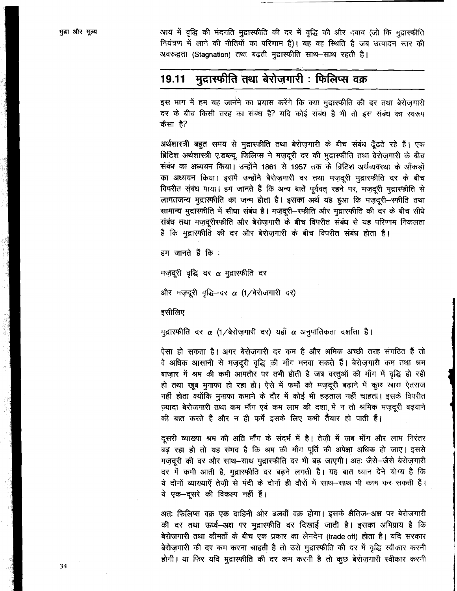आय में वृद्धि की मंदगति मुद्रास्फीति की दर में वृद्धि की और दबाव (जो कि मुद्रास्फीति नियंत्रण में लाने की नीतियों का परिणाम है)। यह वह स्थिति है जब उत्पादन स्तर की अवरुद्धता (Stagnation) तथा बढ़ती मुद्रास्फीति साथ-साथ रहती है।

#### मुद्रास्फीति तथा बेरोजगारी : फिलिप्स वक्र 19.11

इस भाग में हम यह जानेंमे का प्रयास करेंगे कि क्या मुद्रास्फीति की दर तथा बेरोजगारी दर के बीच किसी तरह का संबंध है? यदि कोई संबंध है भी तो इस संबंध का स्वरूप कैसा है?

अर्थशास्त्री बहुत समय से मुद्रास्फीति तथा बेरोज़गारी के बीच संबंध ढूँढते रहे हैं। एक ब्रिटिश अर्थशास्त्री ए.डब्ल्यू. फिलिप्स ने मजदूरी दर की मुद्रास्फीति तथा बेरोजगारी के बीच संबंध का अध्ययन किया। उन्होंने 1861 से 1957 तक के ब्रिटिश अर्थव्यवस्था के ऑकड़ों का अध्ययन किया। इसमें उन्होंने बेरोज़गारी दर तथा मज़दूरी मुद्रास्फीति दर के बीच विपरीत संबंध पाया। हम जानते हैं कि अन्य बातें पूर्ववत् रहने पर, मजदूरी मुद्रास्फीति से लागतजन्य मुद्रास्फीति का जन्म होता है। इसका अर्थ यह हुआ कि मज़दूरी-स्फीति तथा सामान्य मुद्रास्फीति में सीधा संबंध है। मज़दूरी-स्फीति और मुद्रास्फीति की दर के बीच सीधे संबंध तथा मज़दूरीस्फीति और बेरोज़गारी के बीच विपरीत संबंध से यह परिणाम निकलता है कि मुद्रास्फीति की दर और बेरोज़गारी के बीच विपरीत संबंध होता है।

हम जानते हैं कि :

मज़दूरी वृद्धि दर  $\alpha$  मुद्रास्फीति दर

और मज़दूरी वृद्धि-दर α (1/बेरोज़गारी दर)

इसीलिए

मुद्रास्फीति दर  $\alpha$  (1/बेरोज़गारी दर) यहाँ  $\alpha$  अनुपातिकता दर्शाता है।

ऐसा हो सकता है। अगर बेरोजगारी दर कम है और श्रमिक अच्छी तरह संगठित हैं तो वे अधिक आसानी से मज़दूरी वृद्धि की माँग मनवा सकते हैं। बेरोज़गारी कम तथा श्रम बाज़ार में श्रम की कमी आमतौर पर तभी होती है जब वस्तुओं की माँग में वृद्धि हो रही हो तथा खूब मुनाफा हो रहा हो। ऐसे में फर्मों को मज़दूरी बढ़ाने में कुछ खास ऐतराज नहीं होता क्योंकि मुनाफा कमाने के दौर में कोई भी हड़ताल नहीं चाहता। इसके विपरीत ज़्यादा बेरोज़गारी तथा कम माँग एवं कम लाभ की दशा में न तो श्रमिक मज़दूरी बढ़वाने की बात करते हैं और न ही फर्में इसके लिए कभी तैयार हो पाती हैं।

दूसरी व्याख्या श्रम की अति माँग के संदर्भ में है। तेज़ी में जब माँग और लाभ निरंतर .<br>बढ़ रहा हो तो यह संभव है कि श्रम की माँग पूर्ति की अपेक्षा अधिक हो जाए। इससे मज़दूरी की दर और साथ-साथ मुद्रास्फीति दर भी बढ़ जाएगी। अतः जैसे-जैसे बेरोज़गारी दर में कमी आती है, मुद्रास्फीति दर बढ़ने लगती है। यह बात ध्यान देने योग्य है कि ये दोनों व्याख्याएँ तेज़ी से मंदी के दोनों ही दौरों में साथ-साथ भी काम कर सकती हैं। ये एक-दूसरे की विकल्प नहीं हैं।

अतः फिलिप्स वक्र एक दाहिनी ओर ढलवाँ वक्र होगा। इसके क्षैतिज–अक्ष पर बेरोजगारी की दर तथा ऊर्ध्व-अक्ष पर मुद्रास्फीति दर दिखाई जाती है। इसका अभिप्राय है कि बेरोजगारी तथा कीमतों के बीच एक प्रकार का लेनदेन (trade off) होता है। यदि सरकार बेरोज़गारी की दर कम करना चाहती है तो उसे मुद्रास्फीति की दर में वृद्धि स्वीकार करनी होगी। या फिर यदि मुद्रास्फीति की दर कम करनी है तो कुछ बेरोज़गारी स्वीकार करनी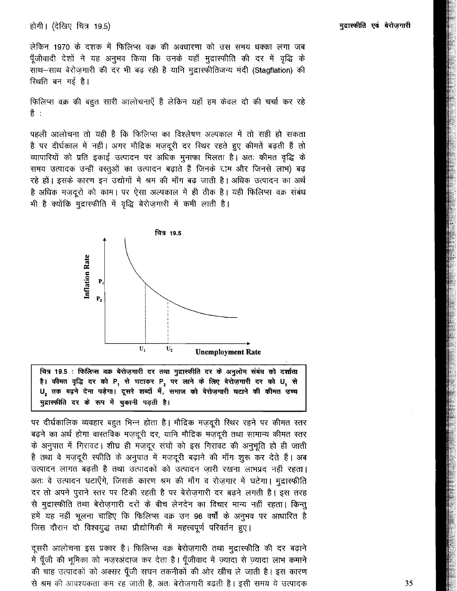#### होगी। (देखिए चित्र 19.5)

लेकिन 1970 के दशक में फिलिप्स वक्र की अवधारणा को उस समय धक्का लगा जब पूँजीवादी देशों ने यह अनुभव किया कि उनके यहाँ मुद्रास्फीति की दर में वृद्धि के साथ-साथ बेरोज़गारी की दर भी बढ़ रही है यानि मुद्रास्फीतिजन्य मंदी (Stagflation) की स्थिति बन गई है।

फिलिप्स वक्र की बहुत सारी आलोचनाएँ हैं लेकिन यहाँ हम केवल दो की चर्चा कर रहे हैं :

पहली आलोचना तो यही है कि फिलिप्स का विश्लेषण अल्पकाल में तो सही हो सकता है पर दीर्घकाल में नहीं। अगर मौद्रिक मज़दूरी दर स्थिर रहते हुए कीमतें बढ़ती हैं तो व्यापारियों को प्रति इकाई उत्पादन पर अधिक मुनाफा मिलता है। अतः कीमत वृद्धि के समय उत्पादक उन्हीं वस्तुओं का उत्पादन बढ़ाते हैं जिनके दाम और जिनसे लाभ) बढ़ रहे हों। इसके कारण इन उद्योगों में श्रम की माँग बढ़ जाती है। अधिक उत्पादन का अर्थ है अधिक मज़दूरों को काम। पर ऐसा अल्पकाल में ही ठीक है। यही फिलिप्स वक्र संबंध भी है क्योंकि मुद्रास्फीति में वृद्धि बेरोज़गारी में कमी लाती है।



चित्र 19.5 : फिलिप्स वक्र बेरोज़गारी दर तथा गुद्रास्फीति दर के अनुलोम संबंध को दर्शाता है। कीमत वृद्धि दर को P, से घटाकर P, पर लाने के लिए बेरोज़गारी दर को U, से U, तक बढ़ने देना पड़ेगा। दूसरे शब्दों में, समाज को बेरोज़गारी घटाने की कीमत उच्च मुद्रास्फीति दर के रूप में चुकानी पड़ती है।

पर दीर्घकालिक व्यवहार बहुत भिन्न होता है। मौद्रिक मज़दूरी स्थिर रहने पर कीमत स्तर बढ़ने का अर्थ होगा वास्तविक मज़दूरी दर, यानि मौद्रिक मज़दूरी तथा सामान्य कीमत स्तर के अनुपात में गिरावट। शीघ्र ही मज़दूर संघों को इस गिरावट की अनुभूति हो ही जाती है तथा वे मज़दूरी स्फीति के अनुपात में मज़दूरी बढ़ाने की माँग शुरू कर देते हैं। अब उत्पादन लागत बढती है तथा उत्पादकों को उत्पादन जारी रखना लाभप्रद नहीं रहता। अतः वे उत्पादन घटाएँगे, जिसके कारण श्रम की माँग व रोज़गार में घटेगा। मुद्रास्फीति दर तो अपने पुराने स्तर पर टिकी रहती है पर बेरोज़गारी दर बढ़ने लगती है। इस तरह से मुद्रास्फीति तथा बेरोज़गारी दरों के बीच लेनदेन का विचार मान्य नहीं रहता। किन्तु हमें यह नहीं भूलना चाहिए कि फिलिप्स वक्र उन 96 वर्षों के अनुभव पर आधारित है जिस दौरान दो विश्वयुद्ध तथा प्रौद्योगिकी में महत्त्वपूर्ण परिवर्तन हुए।

दूसरी आलोचना इस प्रकार है। फिलिप्स वक्र बेरोज़गारी तथा मुद्रास्फीति की दर बढ़ाने में पूँजी की भूमिका को नज़रअंदाज कर देता है। पूँजीवाद में ज़्यादा से ज़्यादा लाभ कमाने की चाह उत्पादकों को अक्सर पूँजी सघन तकनीकों की ओर खींच ले जाती है। इस कारण से श्रम की आवश्यकता कम रह जाती है, अतः बेरोज़गारी बढ़ती है। इसी समय ये उत्पादक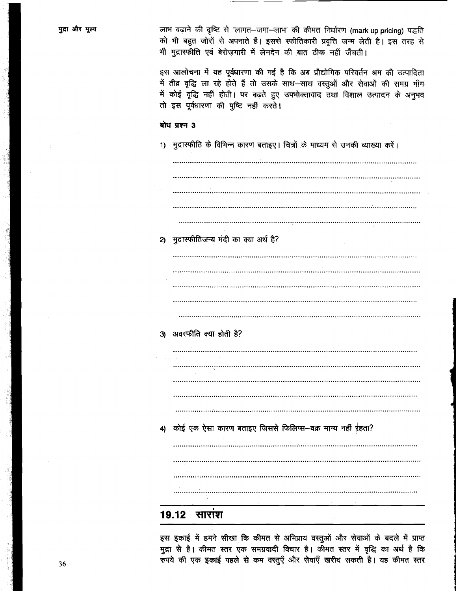| मुद्रा और मूल्य | लाभ बढ़ाने की दृष्टि से 'लागत-जमा-लाभ' की कीमत निर्धारण (mark up pricing) पद्धति<br>को भी बहुत जोरों से अपनाते हैं। इससे स्फीतिकारी प्रवृत्ति जन्म लेती है। इस तरह से<br>भी मुद्रास्फीति एवं बेरोज़गारी में लेनदेन की बात ठीक नहीं जँचती।                                                       |
|-----------------|-------------------------------------------------------------------------------------------------------------------------------------------------------------------------------------------------------------------------------------------------------------------------------------------------|
|                 | इस आलोचना में यह पूर्वधारणा की गई है कि अब प्रौद्योगिक परिवर्तन श्रम की उत्पादिता<br>में तीव्र वृद्धि ला रहे होते हैं तो उसके साथ-साथ वस्तुओं और सेवाओं की समग्र माँग<br>में कोई वृद्धि नहीं होती। पर बढ़ते हुए उपमोक्तावाद तथा विशाल उत्पादन के अनुभव<br>तो इस पूर्वधारणा की पुष्टि नहीं करते। |
|                 | बोध प्रश्न 3                                                                                                                                                                                                                                                                                    |
|                 | 1) मुद्रास्फीति के विभिन्न कारण बताइए। चित्रों के माध्यम से उनकी व्याख्या करें।                                                                                                                                                                                                                 |
|                 |                                                                                                                                                                                                                                                                                                 |
|                 |                                                                                                                                                                                                                                                                                                 |
|                 |                                                                                                                                                                                                                                                                                                 |
|                 | 2) मुद्रास्फीतिजन्य मंदी का क्या अर्थ है?                                                                                                                                                                                                                                                       |
|                 |                                                                                                                                                                                                                                                                                                 |
|                 |                                                                                                                                                                                                                                                                                                 |
|                 |                                                                                                                                                                                                                                                                                                 |
|                 | 3) अवस्फीति क्या होती है?                                                                                                                                                                                                                                                                       |
|                 |                                                                                                                                                                                                                                                                                                 |
|                 |                                                                                                                                                                                                                                                                                                 |
|                 |                                                                                                                                                                                                                                                                                                 |
|                 | 4) कोई एक ऐसा कारण बताइए जिससे फिलिप्स-वक्र मान्य नहीं रहता?                                                                                                                                                                                                                                    |
|                 |                                                                                                                                                                                                                                                                                                 |
|                 |                                                                                                                                                                                                                                                                                                 |
|                 |                                                                                                                                                                                                                                                                                                 |
|                 | <u> 19.12 साराश</u>                                                                                                                                                                                                                                                                             |

इस इकाई में हमने सीखा कि कीमत से अभिप्राय वस्तुओं और सेवाओं के बदले में प्राप्त<br>मुद्रा से है। कीमत स्तर एक समग्रवादी विचार है। कीमत स्तर में वृद्धि का अर्थ है कि<br>रुपये की एक इकाई पहले से कम वस्तुएँ और सेवाएँ खरीद सकती है।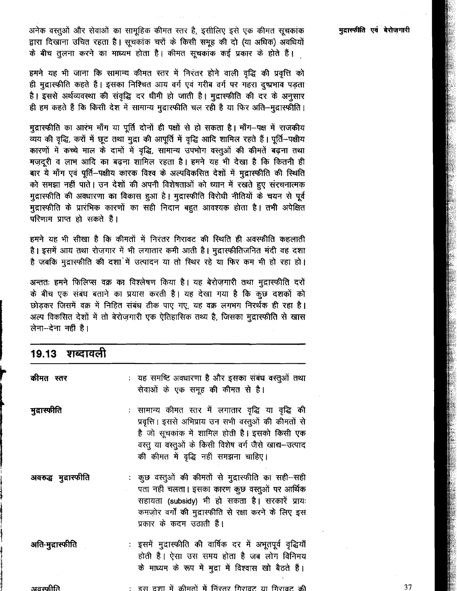अनेक वस्तुओं और सेवाओं का सामूहिक कीमत स्तर है, इसीलिए इसे एक कीमत सूचकांक द्वारा दिखाना उचित रहता है। सूचकांक चरों के किसी समूह की दो (या अधिक) अवधियों के बीच तुलना करने का माध्यम होता है। कीमत सूचकांक कई प्रकार के होते हैं।

हमने यह भी जाना कि सामान्य कीमत स्तर में निरंतर होने वाली वृद्धि की प्रवृत्ति को ही मुद्रास्फीति कहते हैं। इसका निश्चित आय वर्ग एवं गरीब वर्ग पर गहरा दुष्प्रभाव पड़ता है। इससे अर्थव्यवस्था की संवृद्धि दर धीमी हो जाती है। मुद्रास्फीति की दर के अनुसार ही हम कहते हैं कि किसी देश में सामान्य मुद्रास्फीति चल रही है या फिर अति–मुद्रास्फीति।

मुद्रास्फीति का आरंभ माँग या पूर्ति दोनों ही पक्षों से हो सकता है। माँग--पक्ष में राजकीय व्यय की वृद्धि, करों में छूट तथा मुद्रा की आपूर्ति में वृद्धि आदि शामिल रहते हैं। पूर्ति-पक्षीय कारणों में कच्चे माल के दामों में वृद्धि, सामान्य उपभोग वस्तुओं की कीमतें बढ़ना तथा मज़दूरी व लाभ आदि का बढ़ना शामिल रहता है। हमने यह भी देखा है कि कितनी ही बार ये माँग एवं पूर्ति-पक्षीय कारक विश्व के अल्पविकसित देशों में मुद्रास्फीति की स्थिति को समझा नहीं पाते। उन देशों की अपनी विशेषताओं को ध्यान में रखते हुए संरचनात्मक मुद्रास्फीति की अवधारणा का विकास हुआ है। मुद्रास्फीति विरोधी नीतियों के चयन से पूर्व मुद्रास्फीति के प्रारंभिक कारणों का सही निदान बहुत आवश्यक होता है। तभी अपेक्षित परिणाम प्राप्त हो सकते हैं।

हमने यह भी सीखा है कि कीमतों में निरंतर गिरावट की स्थिति ही अवस्फीति कहलाती है। इसमें आय तथा रोज़गार में भी लगातार कमी आती है। मुद्रास्फीतिजनित मंदी वह दशा है जबकि मुद्रास्फीति की दशां में उत्पादन या तो स्थिर रहे या फिर कम भी हो रहा हो।

अन्ततः हमने फिलिप्स वक्र का विश्लेषण किया है। यह बेरोज़गारी तथा मुद्रास्फीति दरों के बीच एक संबंध बताने का प्रयास करती है। यह देखा गया है कि कुछ दशकों को छोडकर जिसमें वक्र में निहित संबंध ठीक पाए गए, यह वक्र लगभग निरर्थक ही रहा है। अल्प विकसित देशों में तो बेरोज़गारी एक ऐतिहासिक तथ्य है, जिसका मुद्रास्फीति से खास लेना-देना नहीं है।

## 19.13 शब्दावली

| कीमत स्तर            | : यह समष्टि अवधारणा है और इसका संबंध वस्तुओं तथा<br>सेवाओं के एक समूह की कीमत से है।                                                                                                                                                                          |
|----------------------|---------------------------------------------------------------------------------------------------------------------------------------------------------------------------------------------------------------------------------------------------------------|
| मुद्रास्फीति         | : सामान्य कीमत स्तर में लगातार वृद्धि या वृद्धि की<br>प्रवृत्ति । इससे अभिप्राय उन सभी वस्तुओं की कीमतों से<br>है जो सूचकांक में शामिल होती है। इसको किसी एक<br>वस्तु या वस्तुओं के किसी विशेष वर्ग जैसे खाद्य-उत्पाद<br>की कीमत में वृद्धि नहीं समझना चाहिए। |
| अवरुद्ध मुद्रास्फीति | : कुछ वस्तुओं की कीमतों से मुद्रास्फीति का सही-सही<br>पता नहीं चलता। इसका कारण कुछ वस्तुओं पर आर्थिक<br>सहायता (subsidy) भी हो सकता है। सरकारें प्रायः<br>कमज़ोर वर्गों की मुद्रास्फीति से रक्षा करने के लिए इस<br>प्रकार के कदम उठाती हैं।                   |
| अति-मुद्रास्फीति     | : इसमें मुद्रास्फीति की वार्षिक दर में अभूतपूर्व वृद्धियाँ<br>होती हैं। ऐसा उस समय होता है जब लोग विनिमय<br>के माध्यम के रूप में मुद्रा में विश्वास खो बैठते हैं।                                                                                             |
| अवस्फीति             | :) इस दशा में कीमतों में निरंतर गिरावट या गिरावट की                                                                                                                                                                                                           |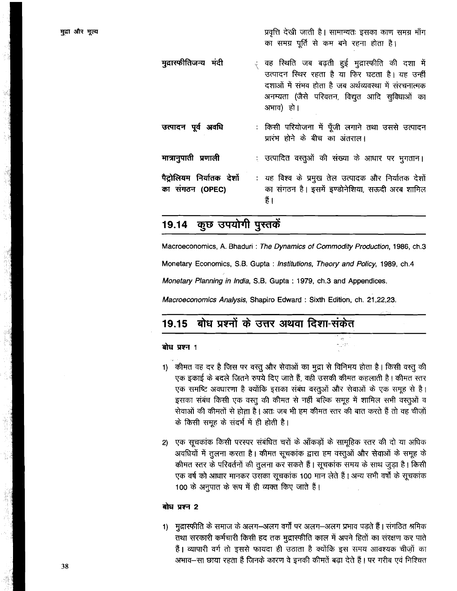प्रवृत्ति देखी जाती है। सामान्यतः इसका काण समग्र माँग का समग्र पूर्ति से कम बने रहना होता है।

मुद्रास्फीतिजन्य मंदी वह स्थिति जब बढ़ती हुई मुद्रास्फीति की दशा में उत्पादन स्थिर रहता है या फिर घटता है। यह उन्हीं दशाओं में संभव होता है जब अर्थव्यवस्था में संरचनात्मक अनम्यता (जैसे परिवतन, विद्युत आदि सुविधाओं का अभाव) हो। उत्पादन पर्व अवधि : किसी परियोजना में पूँजी लगाने तथा उससे उत्पादन प्रारंभ होने के बीच का अंतराल। मात्रानुपाती प्रणाली : उत्पादित वस्तुओं की संख्या के आधार पर भुगतान। : यह विश्व के प्रमुख तेल उत्पादक और निर्यातक देशों पैट्रोलियम निर्यातक देशों का संगठन है। इसमें इण्डोनेशिया, सऊदी अरब शामिल का संगठन (OPEC) हैं ।

#### कुछ उपयोगी पुस्तकें 19.14

Macroeconomics, A. Bhaduri: The Dynamics of Commodity Production, 1986, ch.3 Monetary Economics, S.B. Gupta: Institutions, Theory and Policy, 1989, ch.4 Monetary Planning in India, S.B. Gupta: 1979, ch.3 and Appendices.

Macroeconomics Analysis, Shapiro Edward: Sixth Edition, ch. 21,22,23.

#### बोध प्रश्नों के उत्तर अथवा दिशा-संकेत 19.15

#### बोध प्रश्न 1

- 1) कीमत वह दर है जिस पर वस्तु और सेवाओं का मुद्रा से विनिमय होता है। किसी वस्तु की एक इकाई के बदले जितने रुपये दिए जाते हैं, वही उसकी कीमत कहलाती है। कीमत स्तर एक समष्टि अवधारणा है क्योंकि इसका संबंध वस्तुओं और सेवाओं के एक समूह से है। इसका संबंध किसी एक वस्तु की कीमत से नहीं बल्कि समुह में शामिल सभी वस्तुओं व सेवाओं की कीमतों से होता है। अतः जब भी हम कीमत स्तर की बात करते हैं तो वह चीज़ों के किसी समूह के संदर्भ में ही होती है।
- एक सूचकांक किसी परस्पर संबंधित चरों के आँकड़ों के सामूहिक स्तर की दो या अधिक  $2)$ अवधियों में तुलना करता है। कीमत सूचकांक द्वारा हम वस्तुओं और सेवाओं के समूह के कीमत स्तर के परिवर्तनों की तुलना कर सकते हैं। सूचकांक समय के साथ जुड़ा है। किसी एक वर्ष को आधार मानकर उसका सूचकांक 100 मान लेते हैं। अन्य सभी वर्षों के सूचकांक 100 के अनुपात के रूप में ही व्यक्त किए जाते हैं।

#### बोध प्रश्न 2

्मुद्रास्फीति के समाज के अलग—अलग वर्गों पर अलग—अलग प्रभाव पड़ते हैं। संगठित श्रमिक  $1$ तथा सरकारी कर्मचारी किसी हद तक मुद्रास्फीति काल में अपने हितों का संरक्षण कर पाते हैं। व्यापारी वर्ग तो इससे फायदा ही उठाता है क्योंकि इस समय आवश्यक चीज़ों का अभाव—सा छाया रहता है जिनके कारण वे इनकी कीमतें बढा देते हैं। पर गरीब एवं निश्चित